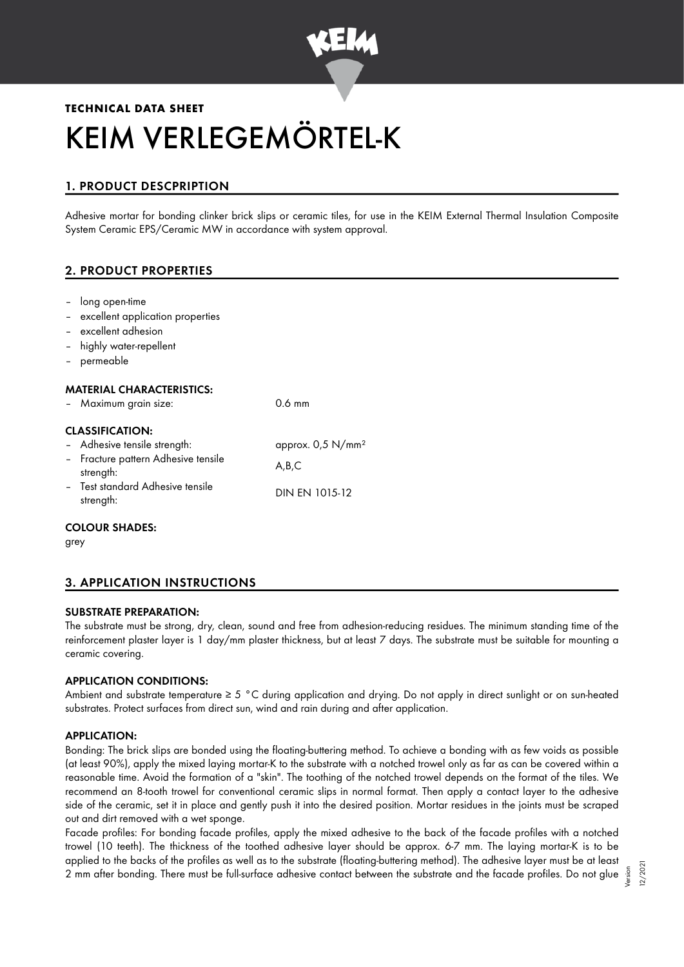

# **TECHNICAL DATA SHEET** KEIM VERLEGEMÖRTEL-K

# 1. PRODUCT DESCPRIPTION

Adhesive mortar for bonding clinker brick slips or ceramic tiles, for use in the KEIM External Thermal Insulation Composite System Ceramic EPS/Ceramic MW in accordance with system approval.

# 2. PRODUCT PROPERTIES

- long open-time
- excellent application properties
- excellent adhesion
- highly water-repellent
- permeable

# MATERIAL CHARACTERISTICS:

– Maximum grain size: 0.6 mm

# CLASSIFICATION:

– Adhesive tensile strength: approx. 0,5 N/mm² – Fracture pattern Adhesive tensile strength: A,B,C – Test standard Adhesive tensile strength: DIN EN 1015-12

# COLOUR SHADES:

grey

# 3. APPLICATION INSTRUCTIONS

# SUBSTRATE PREPARATION:

The substrate must be strong, dry, clean, sound and free from adhesion-reducing residues. The minimum standing time of the reinforcement plaster layer is 1 day/mm plaster thickness, but at least 7 days. The substrate must be suitable for mounting a ceramic covering.

# APPLICATION CONDITIONS:

Ambient and substrate temperature ≥ 5 °C during application and drying. Do not apply in direct sunlight or on sun-heated substrates. Protect surfaces from direct sun, wind and rain during and after application.

# APPLICATION:

Bonding: The brick slips are bonded using the floating-buttering method. To achieve a bonding with as few voids as possible (at least 90%), apply the mixed laying mortar-K to the substrate with a notched trowel only as far as can be covered within a reasonable time. Avoid the formation of a "skin". The toothing of the notched trowel depends on the format of the tiles. We recommend an 8-tooth trowel for conventional ceramic slips in normal format. Then apply a contact layer to the adhesive side of the ceramic, set it in place and gently push it into the desired position. Mortar residues in the joints must be scraped out and dirt removed with a wet sponge.

Facade profiles: For bonding facade profiles, apply the mixed adhesive to the back of the facade profiles with a notched trowel (10 teeth). The thickness of the toothed adhesive layer should be approx. 6-7 mm. The laying mortar-K is to be applied to the backs of the profiles as well as to the substrate (floating-buttering method). The adhesive layer must be at least 2 mm after bonding. There must be full-surface adhesive contact between the substrate and the facade profiles. Do not glue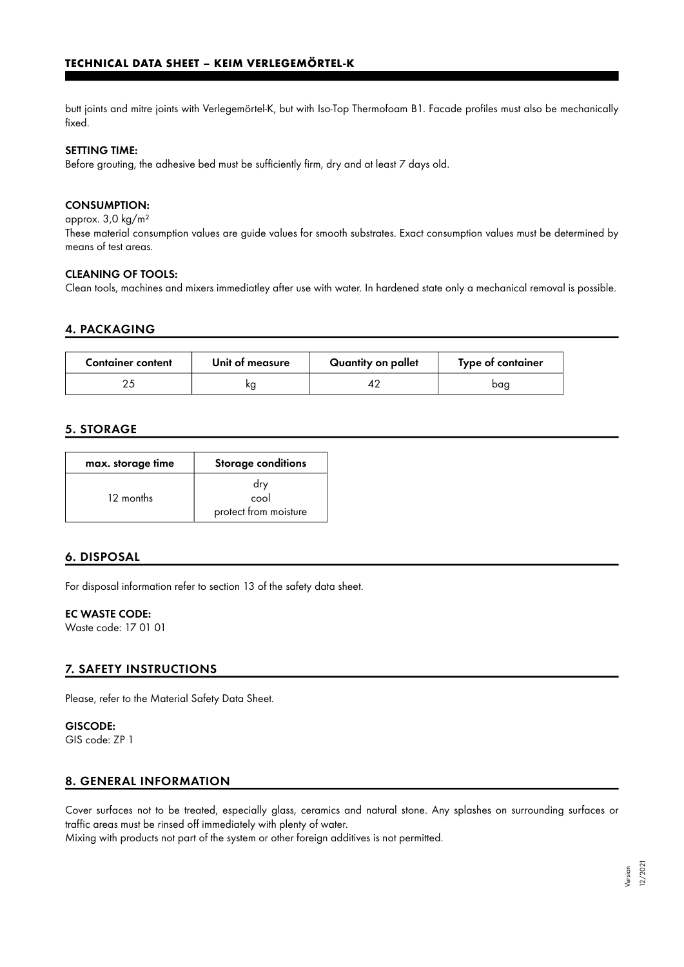butt joints and mitre joints with Verlegemörtel-K, but with Iso-Top Thermofoam B1. Facade profiles must also be mechanically fixed.

#### SETTING TIME:

Before grouting, the adhesive bed must be sufficiently firm, dry and at least 7 days old.

#### CONSUMPTION:

approx. 3,0 kg/m²

These material consumption values are guide values for smooth substrates. Exact consumption values must be determined by means of test areas.

#### CLEANING OF TOOLS:

Clean tools, machines and mixers immediatley after use with water. In hardened state only a mechanical removal is possible.

#### 4. PACKAGING

| <b>Container content</b> | Unit of measure | Quantity on pallet | Type of container |
|--------------------------|-----------------|--------------------|-------------------|
|                          | κg              |                    | baa               |

### 5. STORAGE

| max. storage time | Storage conditions                   |  |
|-------------------|--------------------------------------|--|
| 12 months         | dry<br>cool<br>protect from moisture |  |

#### 6. DISPOSAL

For disposal information refer to section 13 of the safety data sheet.

#### EC WASTE CODE:

Waste code: 17 01 01

#### 7. SAFETY INSTRUCTIONS

Please, refer to the Material Safety Data Sheet.

# GISCODE:

GIS code: ZP 1

#### 8. GENERAL INFORMATION

Cover surfaces not to be treated, especially glass, ceramics and natural stone. Any splashes on surrounding surfaces or traffic areas must be rinsed off immediately with plenty of water.

Mixing with products not part of the system or other foreign additives is not permitted.